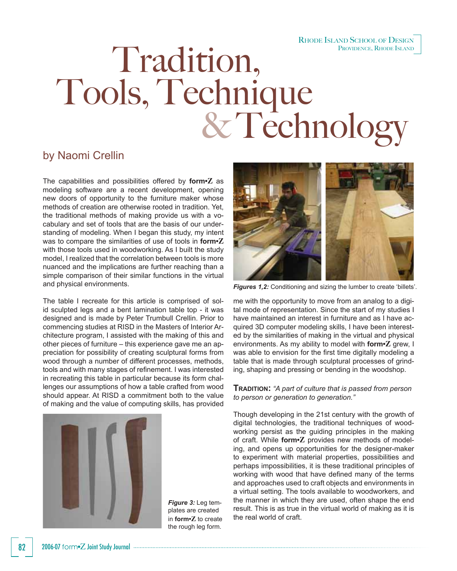## RHODE ISLAND SCHOOL OF DESIGN

# Tradition, PROVIDENCE, RHODE ISLAND Tools, Technique<br>& Technology

### by Naomi Crellin

The capabilities and possibilities offered by **form•Z** as modeling software are a recent development, opening new doors of opportunity to the furniture maker whose methods of creation are otherwise rooted in tradition. Yet, the traditional methods of making provide us with a vocabulary and set of tools that are the basis of our understanding of modeling. When I began this study, my intent was to compare the similarities of use of tools in **form•Z** with those tools used in woodworking. As I built the study model, I realized that the correlation between tools is more nuanced and the implications are further reaching than a simple comparison of their similar functions in the virtual and physical environments.

The table I recreate for this article is comprised of solid sculpted legs and a bent lamination table top - it was designed and is made by Peter Trumbull Crellin. Prior to commencing studies at RISD in the Masters of Interior Architecture program, I assisted with the making of this and other pieces of furniture – this experience gave me an appreciation for possibility of creating sculptural forms from wood through a number of different processes, methods, tools and with many stages of refinement. I was interested in recreating this table in particular because its form challenges our assumptions of how a table crafted from wood should appear. At RISD a commitment both to the value of making and the value of computing skills, has provided



*Figure 3:* Leg templates are created in **form•Z** to create the rough leg form.



*Figures 1,2:* Conditioning and sizing the lumber to create 'billets'.

me with the opportunity to move from an analog to a digital mode of representation. Since the start of my studies I have maintained an interest in furniture and as I have acquired 3D computer modeling skills, I have been interested by the similarities of making in the virtual and physical environments. As my ability to model with **form•Z** grew, I was able to envision for the first time digitally modeling a table that is made through sculptural processes of grinding, shaping and pressing or bending in the woodshop.

#### **TRADITION:** *"A part of culture that is passed from person to person or generation to generation."*

Though developing in the 21st century with the growth of digital technologies, the traditional techniques of woodworking persist as the guiding principles in the making of craft. While **form•Z** provides new methods of modeling, and opens up opportunities for the designer-maker to experiment with material properties, possibilities and perhaps impossibilities, it is these traditional principles of working with wood that have defined many of the terms and approaches used to craft objects and environments in a virtual setting. The tools available to woodworkers, and the manner in which they are used, often shape the end result. This is as true in the virtual world of making as it is the real world of craft.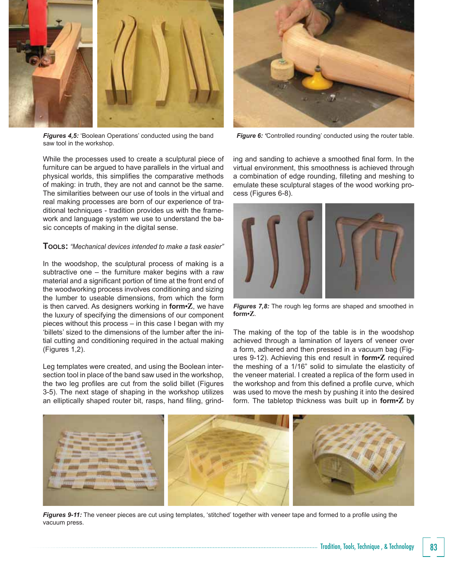

*Figures 4,5:* 'Boolean Operations' conducted using the band saw tool in the workshop.

While the processes used to create a sculptural piece of furniture can be argued to have parallels in the virtual and physical worlds, this simplifies the comparative methods of making: in truth, they are not and cannot be the same. The similarities between our use of tools in the virtual and real making processes are born of our experience of traditional techniques - tradition provides us with the framework and language system we use to understand the basic concepts of making in the digital sense.

#### **TOOLS:** *"Mechanical devices intended to make a task easier"*

In the woodshop, the sculptural process of making is a subtractive one – the furniture maker begins with a raw material and a significant portion of time at the front end of the woodworking process involves conditioning and sizing the lumber to useable dimensions, from which the form is then carved. As designers working in **form•Z**, we have the luxury of specifying the dimensions of our component pieces without this process – in this case I began with my 'billets' sized to the dimensions of the lumber after the initial cutting and conditioning required in the actual making (Figures 1,2).

Leg templates were created, and using the Boolean intersection tool in place of the band saw used in the workshop, the two leg profiles are cut from the solid billet (Figures 3-5). The next stage of shaping in the workshop utilizes an elliptically shaped router bit, rasps, hand filing, grind-



*Figure 6: 'Controlled rounding' conducted using the router table.* 

ing and sanding to achieve a smoothed final form. In the virtual environment, this smoothness is achieved through a combination of edge rounding, filleting and meshing to emulate these sculptural stages of the wood working process (Figures 6-8).



**Figures 7,8:** The rough leg forms are shaped and smoothed in **form•Z**.

The making of the top of the table is in the woodshop achieved through a lamination of layers of veneer over a form, adhered and then pressed in a vacuum bag (Figures 9-12). Achieving this end result in **form•Z** required the meshing of a 1/16" solid to simulate the elasticity of the veneer material. I created a replica of the form used in the workshop and from this defined a profile curve, which was used to move the mesh by pushing it into the desired form. The tabletop thickness was built up in **form•Z** by



Figures 9-11: The veneer pieces are cut using templates, 'stitched' together with veneer tape and formed to a profile using the vacuum press.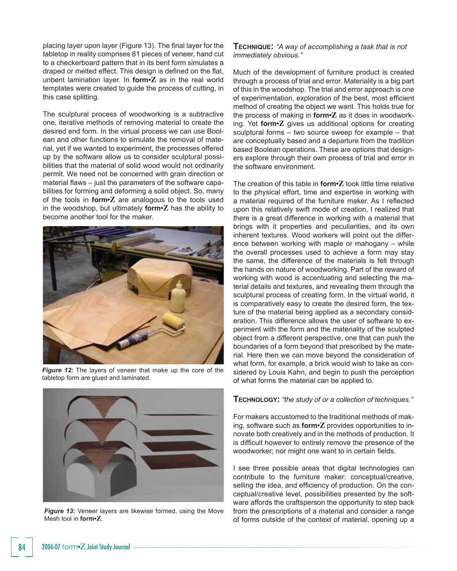placing layer upon layer (Figure 13). The final layer for the tabletop in reality comprises 81 pieces of veneer, hand cut to a checkerboard pattern that in its bent form simulates a draped or melted effect. This design is defined on the flat, unbent lamination layer. In **form•Z** as in the real world templates were created to guide the process of cutting, in this case splitting.

The sculptural process of woodworking is a subtractive one, iterative methods of removing material to create the desired end form. In the virtual process we can use Boolean and other functions to simulate the removal of material, yet if we wanted to experiment, the processes offered up by the software allow us to consider sculptural possibilities that the material of solid wood would not ordinarily permit. We need not be concerned with grain direction or material flaws  $-$  just the parameters of the software capabilities for forming and deforming a solid object. So, many of the tools in **form•Z** are analogous to the tools used in the woodshop, but ultimately **form•Z** has the ability to become another tool for the maker.



*Figure 12:* The layers of veneer that make up the core of the tabletop form are glued and laminated.



**Figure 13:** Veneer layers are likewise formed, using the Move Mesh tool in **form•Z**.

**TECHNIQUE:** *"A way of accomplishing a task that is not immediately obvious."*

Much of the development of furniture product is created through a process of trial and error. Materiality is a big part of this in the woodshop. The trial and error approach is one of experimentation, exploration of the best, most efficient method of creating the object we want. This holds true for the process of making in **form•Z** as it does in woodworking. Yet **form•Z** gives us additional options for creating sculptural forms – two source sweep for example – that are conceptually based and a departure from the tradition based Boolean operations. These are options that designers explore through their own process of trial and error in the software environment.

The creation of this table in **form•Z** took little time relative to the physical effort, time and expertise in working with a material required of the furniture maker. As I reflected upon this relatively swift mode of creation, I realized that there is a great difference in working with a material that brings with it properties and peculiarities, and its own inherent textures. Wood workers will point out the difference between working with maple or mahogany – while the overall processes used to achieve a form may stay the same, the difference of the materials is felt through the hands on nature of woodworking. Part of the reward of working with wood is accentuating and selecting the material details and textures, and revealing them through the sculptural process of creating form. In the virtual world, it is comparatively easy to create the desired form, the texture of the material being applied as a secondary consideration. This difference allows the user of software to experiment with the form and the materiality of the sculpted object from a different perspective, one that can push the boundaries of a form beyond that prescribed by the material. Here then we can move beyond the consideration of what form, for example, a brick would wish to take as considered by Louis Kahn, and begin to push the perception of what forms the material can be applied to.

#### **TECHNOLOGY:** *"the study of or a collection of techniques."*

For makers accustomed to the traditional methods of making, software such as **form•Z** provides opportunities to innovate both creatively and in the methods of production. It is difficult however to entirely remove the presence of the woodworker; nor might one want to in certain fields.

I see three possible areas that digital technologies can contribute to the furniture maker: conceptual/creative, selling the idea, and efficiency of production. On the conceptual/creative level, possibilities presented by the software affords the craftsperson the opportunity to step back from the prescriptions of a material and consider a range of forms outside of the context of material, opening up a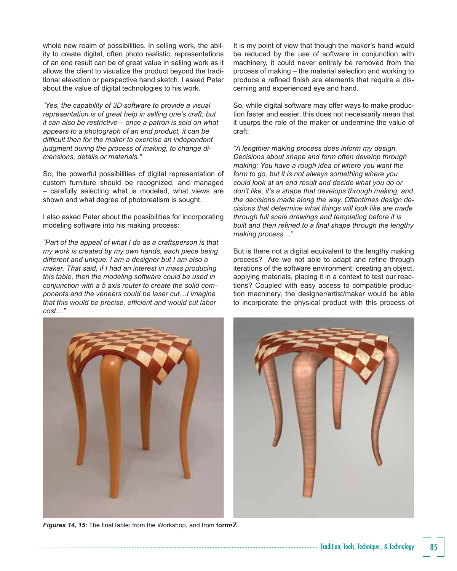whole new realm of possibilities. In selling work, the ability to create digital, often photo realistic, representations of an end result can be of great value in selling work as it allows the client to visualize the product beyond the traditional elevation or perspective hand sketch. I asked Peter about the value of digital technologies to his work.

*"Yes, the capability of 3D software to provide a visual representation is of great help in selling one's craft; but it can also be restrictive – once a patron is sold on what appears to a photograph of an end product, it can be*  difficult then for the maker to exercise an independent *judgment during the process of making, to change dimensions, details or materials."*

So, the powerful possibilities of digital representation of custom furniture should be recognized, and managed – carefully selecting what is modeled, what views are shown and what degree of photorealism is sought.

I also asked Peter about the possibilities for incorporating modeling software into his making process:

*"Part of the appeal of what I do as a craftsperson is that my work is created by my own hands, each piece being different and unique. I am a designer but I am also a maker. That said, if I had an interest in mass producing this table, then the modeling software could be used in conjunction with a 5 axis router to create the solid components and the veneers could be laser cut…I imagine*  that this would be precise, efficient and would cut labor *cost…"*

It is my point of view that though the maker's hand would be reduced by the use of software in conjunction with machinery, it could never entirely be removed from the process of making – the material selection and working to produce a refined finish are elements that require a discerning and experienced eye and hand.

So, while digital software may offer ways to make production faster and easier, this does not necessarily mean that it usurps the role of the maker or undermine the value of craft:

*"A lengthier making process does inform my design. Decisions about shape and form often develop through making: You have a rough idea of where you want the form to go, but it is not always something where you could look at an end result and decide what you do or don't like, it's a shape that develops through making, and the decisions made along the way. Oftentimes design decisions that determine what things will look like are made through full scale drawings and templating before it is*  built and then refined to a final shape through the lengthy *making process…"*

But is there not a digital equivalent to the lengthy making process? Are we not able to adapt and refine through iterations of the software environment: creating an object, applying materials, placing it in a context to test our reactions? Coupled with easy access to compatible production machinery, the designer/artist/maker would be able to incorporate the physical product with this process of



**Figures 14, 15:** The final table: from the Workshop, and from **form**<sup>2</sup>.